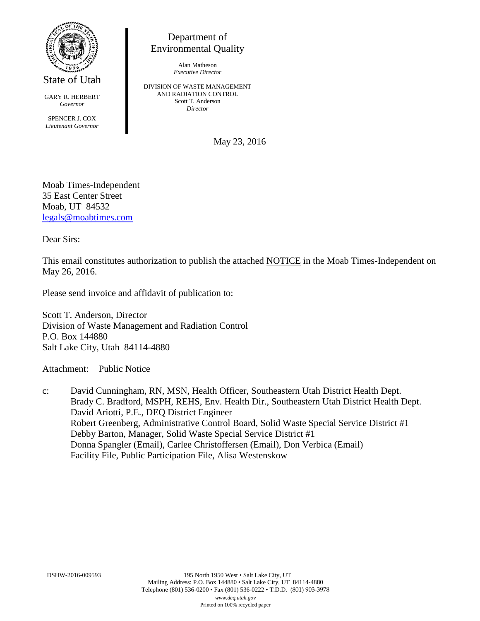

State of Utah

GARY R. HERBERT *Governor* SPENCER J. COX *Lieutenant Governor*

Department of Environmental Quality

> Alan Matheson *Executive Director*

DIVISION OF WASTE MANAGEMENT AND RADIATION CONTROL Scott T. Anderson *Director*

May 23, 2016

Moab Times-Independent 35 East Center Street Moab, UT 84532 [legals@moabtimes.com](mailto:legals@moabtimes.com)

Dear Sirs:

This email constitutes authorization to publish the attached NOTICE in the Moab Times-Independent on May 26, 2016.

Please send invoice and affidavit of publication to:

Scott T. Anderson, Director Division of Waste Management and Radiation Control P.O. Box 144880 Salt Lake City, Utah 84114-4880

Attachment: Public Notice

c: David Cunningham, RN, MSN, Health Officer, Southeastern Utah District Health Dept. Brady C. Bradford, MSPH, REHS, Env. Health Dir., Southeastern Utah District Health Dept. David Ariotti, P.E., DEQ District Engineer Robert Greenberg, Administrative Control Board, Solid Waste Special Service District #1 Debby Barton, Manager, Solid Waste Special Service District #1 Donna Spangler (Email), Carlee Christoffersen (Email), Don Verbica (Email) Facility File, Public Participation File, Alisa Westenskow